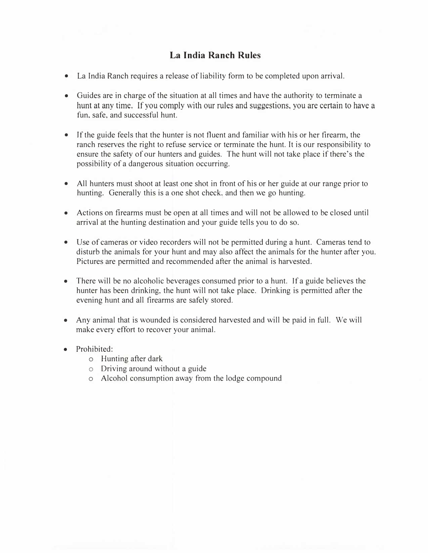# **La India Ranch Rules**

- La India Ranch requires a release of liability form to be completed upon arrival.
- Guides are in charge of the situation at all times and have the authority to terminate a hunt at any time. If you comply with our rules and suggestions, you are certain to have a fun, safe, and successful hunt.
- Jf the guide feels that the hunter is not fluent and familiar with his or her firearm, the ranch reserves the right to refuse service or terminate the hunt. It is our responsibility to ensure the safety of our hunters and guides. The hunt will not take place if there's the possibility of a dangerous situation occurring.
- All hunters must shoot at least one shot in front of his or her guide at our range prior to hunting. Generally this is a one shot check. and then we go hunting.
- Actions on firearms must be open at all times and will not be allowed to be closed until arrival at the hunting destination and your guide tells you to do so.
- Use of cameras or video recorders will not be permitted during a hunt. Cameras tend to disturb the animals for your hunt and may also affect the animals for the hunter after you. Pictures are permitted and recommended after the animal is harvested.
- There will be no alcoholic beverages consumed prior to a hunt. If a guide believes the hunter has been drinking, the hunt will not take place. Drinking is permitted after the evening hunt and all firearms are safely stored.
- Any animal that is wounded is considered harvested and will be paid in full. We will make every effort to recover your animal.
- Prohibited:
	- o Hunting after dark
	- o Driving around without a guide
	- o Alcohol consumption away from the lodge compound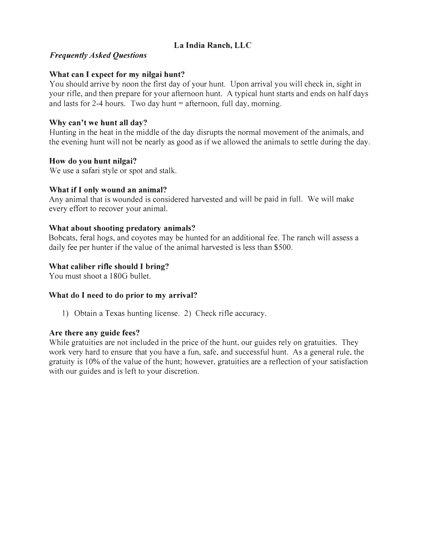# **La India Ranch, LLC**

## *Frequently Asked Questions*

## **What can I expect for my nilgai hunt?**

You should arrive by noon the first day of your hunt. Upon arrival you will check in, sight in your rifle, and then prepare for your afternoon hunt. A typical hunt starts and ends on half days and lasts for  $2-4$  hours. Two day hunt = afternoon, full day, morning.

## **Why can't we hunt all day?**

Hunting in the heat in the middle of the day disrupts the normal movement of the animals, and the evening hunt will not be nearly as good as if we allowed the animals to settle during the day.

### **How do you hunt nilgai?**

We use a safari style or spot and stalk.

### **What** if I **only wound an animal?**

Any animal that is wounded is considered harvested and will be paid in full. We will make every effort to recover your animal.

### **What about shooting predatory animals?**

Bobcats, feral hogs, and coyotes may be hunted for an additional fee. The ranch will assess a daily fee per hunter if the value of the animal harvested is less than \$500.

## **What caliber rifle should** I **bring?**

You must shoot a 180G bullet.

#### **What do I need to do prior to my arrival?**

1) Obtain a Texas hunting license. 2) Check rifle accuracy.

#### **Are there any guide fees?**

While gratuities are not included in the price of the hunt, our guides rely on gratuities. They work very hard to ensure that you have a fun, safe, and successful hunt. As a general rule, the gratuity is I 0% of the value of the hunt; however, gratuities are a reflection of your satisfaction with our guides and is left to your discretion.